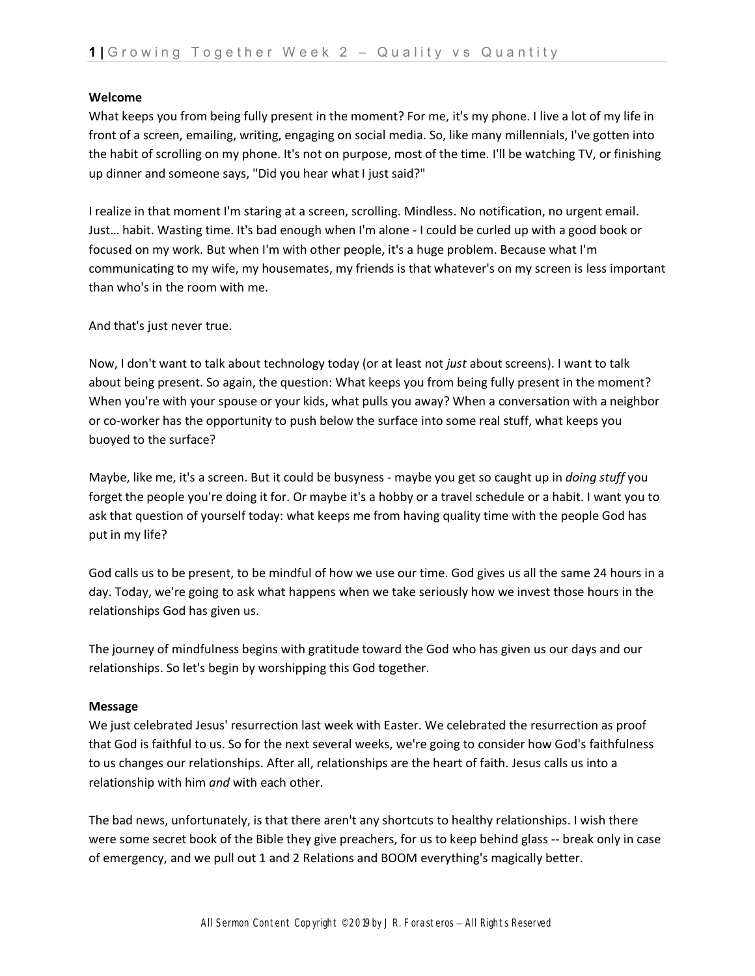## **Welcome**

What keeps you from being fully present in the moment? For me, it's my phone. I live a lot of my life in front of a screen, emailing, writing, engaging on social media. So, like many millennials, I've gotten into the habit of scrolling on my phone. It's not on purpose, most of the time. I'll be watching TV, or finishing up dinner and someone says, "Did you hear what I just said?"

I realize in that moment I'm staring at a screen, scrolling. Mindless. No notification, no urgent email. Just… habit. Wasting time. It's bad enough when I'm alone - I could be curled up with a good book or focused on my work. But when I'm with other people, it's a huge problem. Because what I'm communicating to my wife, my housemates, my friends is that whatever's on my screen is less important than who's in the room with me.

And that's just never true.

Now, I don't want to talk about technology today (or at least not *just* about screens). I want to talk about being present. So again, the question: What keeps you from being fully present in the moment? When you're with your spouse or your kids, what pulls you away? When a conversation with a neighbor or co-worker has the opportunity to push below the surface into some real stuff, what keeps you buoyed to the surface?

Maybe, like me, it's a screen. But it could be busyness - maybe you get so caught up in *doing stuff* you forget the people you're doing it for. Or maybe it's a hobby or a travel schedule or a habit. I want you to ask that question of yourself today: what keeps me from having quality time with the people God has put in my life?

God calls us to be present, to be mindful of how we use our time. God gives us all the same 24 hours in a day. Today, we're going to ask what happens when we take seriously how we invest those hours in the relationships God has given us.

The journey of mindfulness begins with gratitude toward the God who has given us our days and our relationships. So let's begin by worshipping this God together.

## **Message**

We just celebrated Jesus' resurrection last week with Easter. We celebrated the resurrection as proof that God is faithful to us. So for the next several weeks, we're going to consider how God's faithfulness to us changes our relationships. After all, relationships are the heart of faith. Jesus calls us into a relationship with him *and* with each other.

The bad news, unfortunately, is that there aren't any shortcuts to healthy relationships. I wish there were some secret book of the Bible they give preachers, for us to keep behind glass -- break only in case of emergency, and we pull out 1 and 2 Relations and BOOM everything's magically better.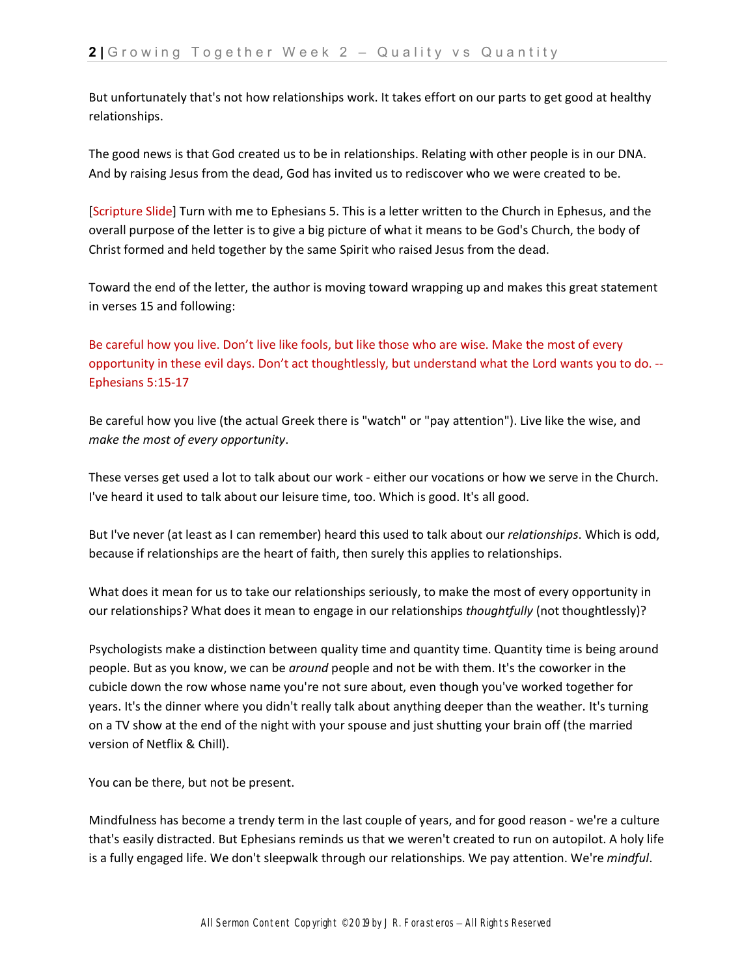But unfortunately that's not how relationships work. It takes effort on our parts to get good at healthy relationships.

The good news is that God created us to be in relationships. Relating with other people is in our DNA. And by raising Jesus from the dead, God has invited us to rediscover who we were created to be.

[Scripture Slide] Turn with me to Ephesians 5. This is a letter written to the Church in Ephesus, and the overall purpose of the letter is to give a big picture of what it means to be God's Church, the body of Christ formed and held together by the same Spirit who raised Jesus from the dead.

Toward the end of the letter, the author is moving toward wrapping up and makes this great statement in verses 15 and following:

Be careful how you live. Don't live like fools, but like those who are wise. Make the most of every opportunity in these evil days. Don't act thoughtlessly, but understand what the Lord wants you to do. -- Ephesians 5:15-17

Be careful how you live (the actual Greek there is "watch" or "pay attention"). Live like the wise, and *make the most of every opportunity*.

These verses get used a lot to talk about our work - either our vocations or how we serve in the Church. I've heard it used to talk about our leisure time, too. Which is good. It's all good.

But I've never (at least as I can remember) heard this used to talk about our *relationships*. Which is odd, because if relationships are the heart of faith, then surely this applies to relationships.

What does it mean for us to take our relationships seriously, to make the most of every opportunity in our relationships? What does it mean to engage in our relationships *thoughtfully* (not thoughtlessly)?

Psychologists make a distinction between quality time and quantity time. Quantity time is being around people. But as you know, we can be *around* people and not be with them. It's the coworker in the cubicle down the row whose name you're not sure about, even though you've worked together for years. It's the dinner where you didn't really talk about anything deeper than the weather. It's turning on a TV show at the end of the night with your spouse and just shutting your brain off (the married version of Netflix & Chill).

You can be there, but not be present.

Mindfulness has become a trendy term in the last couple of years, and for good reason - we're a culture that's easily distracted. But Ephesians reminds us that we weren't created to run on autopilot. A holy life is a fully engaged life. We don't sleepwalk through our relationships. We pay attention. We're *mindful*.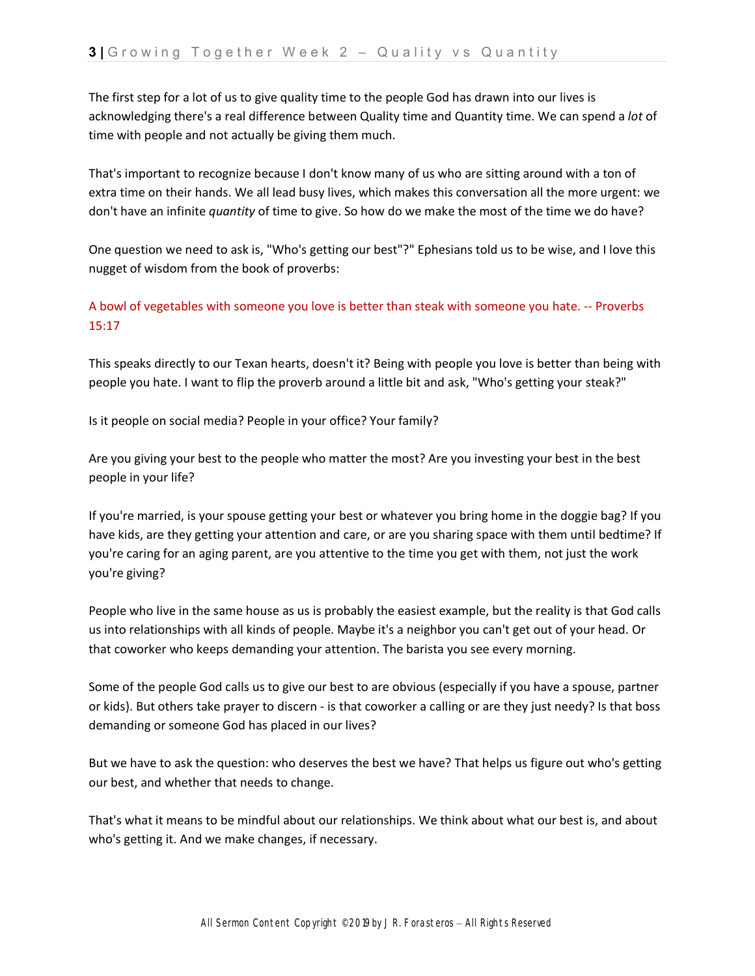The first step for a lot of us to give quality time to the people God has drawn into our lives is acknowledging there's a real difference between Quality time and Quantity time. We can spend a *lot* of time with people and not actually be giving them much.

That's important to recognize because I don't know many of us who are sitting around with a ton of extra time on their hands. We all lead busy lives, which makes this conversation all the more urgent: we don't have an infinite *quantity* of time to give. So how do we make the most of the time we do have?

One question we need to ask is, "Who's getting our best"?" Ephesians told us to be wise, and I love this nugget of wisdom from the book of proverbs:

A bowl of vegetables with someone you love is better than steak with someone you hate. -- Proverbs 15:17

This speaks directly to our Texan hearts, doesn't it? Being with people you love is better than being with people you hate. I want to flip the proverb around a little bit and ask, "Who's getting your steak?"

Is it people on social media? People in your office? Your family?

Are you giving your best to the people who matter the most? Are you investing your best in the best people in your life?

If you're married, is your spouse getting your best or whatever you bring home in the doggie bag? If you have kids, are they getting your attention and care, or are you sharing space with them until bedtime? If you're caring for an aging parent, are you attentive to the time you get with them, not just the work you're giving?

People who live in the same house as us is probably the easiest example, but the reality is that God calls us into relationships with all kinds of people. Maybe it's a neighbor you can't get out of your head. Or that coworker who keeps demanding your attention. The barista you see every morning.

Some of the people God calls us to give our best to are obvious (especially if you have a spouse, partner or kids). But others take prayer to discern - is that coworker a calling or are they just needy? Is that boss demanding or someone God has placed in our lives?

But we have to ask the question: who deserves the best we have? That helps us figure out who's getting our best, and whether that needs to change.

That's what it means to be mindful about our relationships. We think about what our best is, and about who's getting it. And we make changes, if necessary.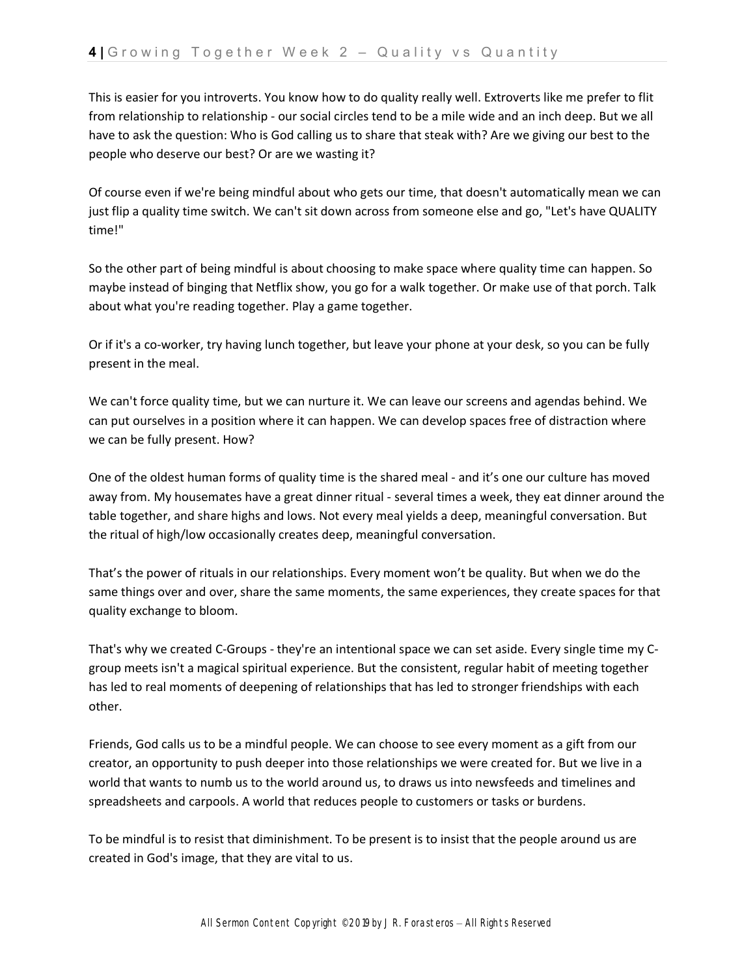This is easier for you introverts. You know how to do quality really well. Extroverts like me prefer to flit from relationship to relationship - our social circles tend to be a mile wide and an inch deep. But we all have to ask the question: Who is God calling us to share that steak with? Are we giving our best to the people who deserve our best? Or are we wasting it?

Of course even if we're being mindful about who gets our time, that doesn't automatically mean we can just flip a quality time switch. We can't sit down across from someone else and go, "Let's have QUALITY time!"

So the other part of being mindful is about choosing to make space where quality time can happen. So maybe instead of binging that Netflix show, you go for a walk together. Or make use of that porch. Talk about what you're reading together. Play a game together.

Or if it's a co-worker, try having lunch together, but leave your phone at your desk, so you can be fully present in the meal.

We can't force quality time, but we can nurture it. We can leave our screens and agendas behind. We can put ourselves in a position where it can happen. We can develop spaces free of distraction where we can be fully present. How?

One of the oldest human forms of quality time is the shared meal - and it's one our culture has moved away from. My housemates have a great dinner ritual - several times a week, they eat dinner around the table together, and share highs and lows. Not every meal yields a deep, meaningful conversation. But the ritual of high/low occasionally creates deep, meaningful conversation.

That's the power of rituals in our relationships. Every moment won't be quality. But when we do the same things over and over, share the same moments, the same experiences, they create spaces for that quality exchange to bloom.

That's why we created C-Groups - they're an intentional space we can set aside. Every single time my Cgroup meets isn't a magical spiritual experience. But the consistent, regular habit of meeting together has led to real moments of deepening of relationships that has led to stronger friendships with each other.

Friends, God calls us to be a mindful people. We can choose to see every moment as a gift from our creator, an opportunity to push deeper into those relationships we were created for. But we live in a world that wants to numb us to the world around us, to draws us into newsfeeds and timelines and spreadsheets and carpools. A world that reduces people to customers or tasks or burdens.

To be mindful is to resist that diminishment. To be present is to insist that the people around us are created in God's image, that they are vital to us.